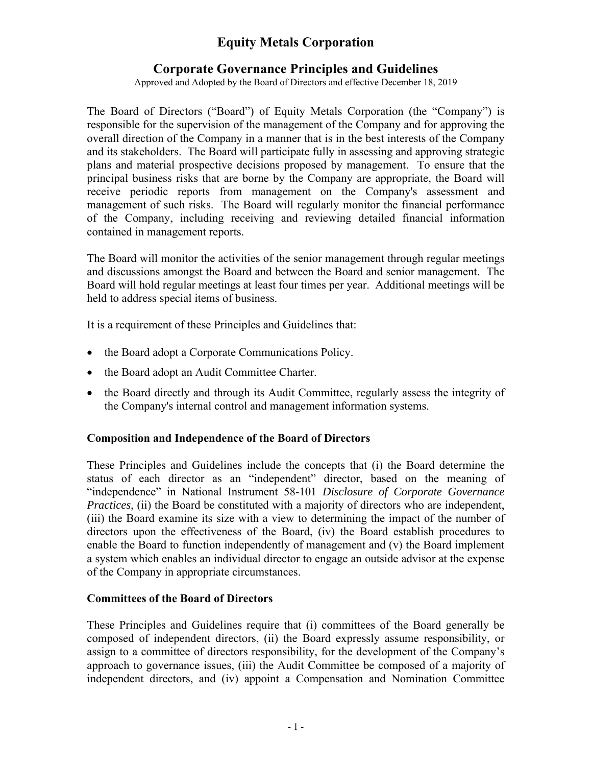# **Equity Metals Corporation**

## **Corporate Governance Principles and Guidelines**

Approved and Adopted by the Board of Directors and effective December 18, 2019

The Board of Directors ("Board") of Equity Metals Corporation (the "Company") is responsible for the supervision of the management of the Company and for approving the overall direction of the Company in a manner that is in the best interests of the Company and its stakeholders. The Board will participate fully in assessing and approving strategic plans and material prospective decisions proposed by management. To ensure that the principal business risks that are borne by the Company are appropriate, the Board will receive periodic reports from management on the Company's assessment and management of such risks. The Board will regularly monitor the financial performance of the Company, including receiving and reviewing detailed financial information contained in management reports.

The Board will monitor the activities of the senior management through regular meetings and discussions amongst the Board and between the Board and senior management. The Board will hold regular meetings at least four times per year. Additional meetings will be held to address special items of business.

It is a requirement of these Principles and Guidelines that:

- the Board adopt a Corporate Communications Policy.
- the Board adopt an Audit Committee Charter.
- the Board directly and through its Audit Committee, regularly assess the integrity of the Company's internal control and management information systems.

### **Composition and Independence of the Board of Directors**

These Principles and Guidelines include the concepts that (i) the Board determine the status of each director as an "independent" director, based on the meaning of "independence" in National Instrument 58-101 *Disclosure of Corporate Governance Practices*, (ii) the Board be constituted with a majority of directors who are independent, (iii) the Board examine its size with a view to determining the impact of the number of directors upon the effectiveness of the Board, (iv) the Board establish procedures to enable the Board to function independently of management and (v) the Board implement a system which enables an individual director to engage an outside advisor at the expense of the Company in appropriate circumstances.

### **Committees of the Board of Directors**

These Principles and Guidelines require that (i) committees of the Board generally be composed of independent directors, (ii) the Board expressly assume responsibility, or assign to a committee of directors responsibility, for the development of the Company's approach to governance issues, (iii) the Audit Committee be composed of a majority of independent directors, and (iv) appoint a Compensation and Nomination Committee